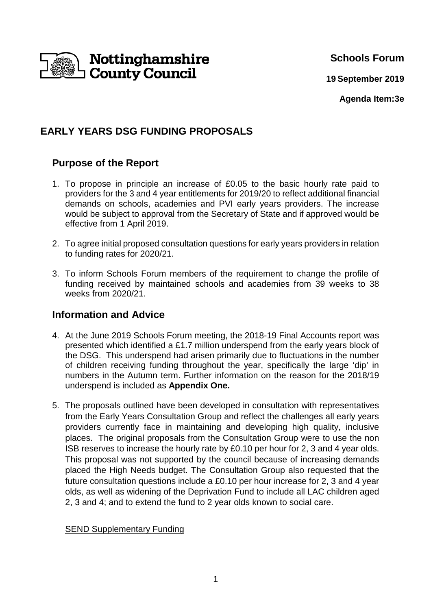

**Schools Forum**

**19 September 2019**

**Agenda Item:3e**

# **EARLY YEARS DSG FUNDING PROPOSALS**

# **Purpose of the Report**

- 1. To propose in principle an increase of £0.05 to the basic hourly rate paid to providers for the 3 and 4 year entitlements for 2019/20 to reflect additional financial demands on schools, academies and PVI early years providers. The increase would be subject to approval from the Secretary of State and if approved would be effective from 1 April 2019.
- 2. To agree initial proposed consultation questions for early years providers in relation to funding rates for 2020/21.
- 3. To inform Schools Forum members of the requirement to change the profile of funding received by maintained schools and academies from 39 weeks to 38 weeks from 2020/21.

# **Information and Advice**

- 4. At the June 2019 Schools Forum meeting, the 2018-19 Final Accounts report was presented which identified a £1.7 million underspend from the early years block of the DSG. This underspend had arisen primarily due to fluctuations in the number of children receiving funding throughout the year, specifically the large 'dip' in numbers in the Autumn term. Further information on the reason for the 2018/19 underspend is included as **Appendix One.**
- 5. The proposals outlined have been developed in consultation with representatives from the Early Years Consultation Group and reflect the challenges all early years providers currently face in maintaining and developing high quality, inclusive places. The original proposals from the Consultation Group were to use the non ISB reserves to increase the hourly rate by £0.10 per hour for 2, 3 and 4 year olds. This proposal was not supported by the council because of increasing demands placed the High Needs budget. The Consultation Group also requested that the future consultation questions include a £0.10 per hour increase for 2, 3 and 4 year olds, as well as widening of the Deprivation Fund to include all LAC children aged 2, 3 and 4; and to extend the fund to 2 year olds known to social care.

## SEND Supplementary Funding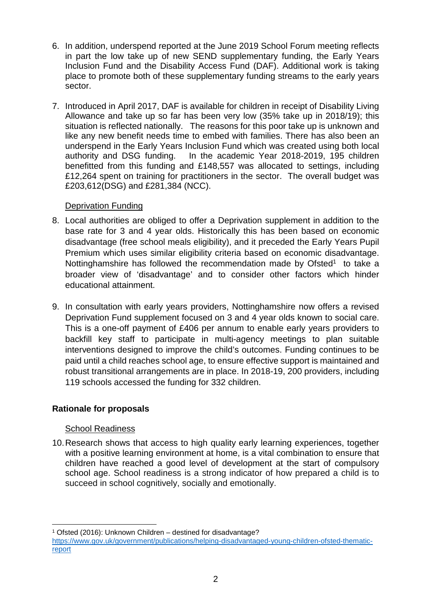- 6. In addition, underspend reported at the June 2019 School Forum meeting reflects in part the low take up of new SEND supplementary funding, the Early Years Inclusion Fund and the Disability Access Fund (DAF). Additional work is taking place to promote both of these supplementary funding streams to the early years sector.
- 7. Introduced in April 2017, DAF is available for children in receipt of Disability Living Allowance and take up so far has been very low (35% take up in 2018/19); this situation is reflected nationally. The reasons for this poor take up is unknown and like any new benefit needs time to embed with families. There has also been an underspend in the Early Years Inclusion Fund which was created using both local authority and DSG funding. In the academic Year 2018-2019, 195 children benefitted from this funding and £148,557 was allocated to settings, including £12,264 spent on training for practitioners in the sector. The overall budget was £203,612(DSG) and £281,384 (NCC).

### Deprivation Funding

- 8. Local authorities are obliged to offer a Deprivation supplement in addition to the base rate for 3 and 4 year olds. Historically this has been based on economic disadvantage (free school meals eligibility), and it preceded the Early Years Pupil Premium which uses similar eligibility criteria based on economic disadvantage. Nottinghamshire has followed the recommendation made by Ofsted<sup>1</sup> to take a broader view of 'disadvantage' and to consider other factors which hinder educational attainment.
- 9. In consultation with early years providers, Nottinghamshire now offers a revised Deprivation Fund supplement focused on 3 and 4 year olds known to social care. This is a one-off payment of £406 per annum to enable early years providers to backfill key staff to participate in multi-agency meetings to plan suitable interventions designed to improve the child's outcomes. Funding continues to be paid until a child reaches school age, to ensure effective support is maintained and robust transitional arrangements are in place. In 2018-19, 200 providers, including 119 schools accessed the funding for 332 children.

## **Rationale for proposals**

## School Readiness

 $\overline{a}$ 

10. Research shows that access to high quality early learning experiences, together with a positive learning environment at home, is a vital combination to ensure that children have reached a good level of development at the start of compulsory school age. School readiness is a strong indicator of how prepared a child is to succeed in school cognitively, socially and emotionally.

<sup>1</sup> Ofsted (2016): Unknown Children – destined for disadvantage? https://www.gov.uk/government/publications/helping-disadvantaged-young-children-ofsted-thematicreport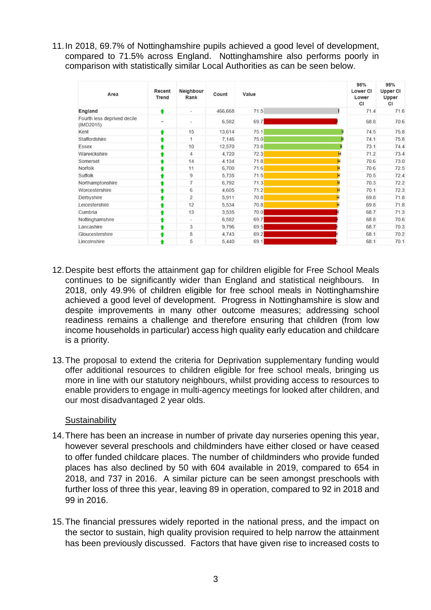11. In 2018, 69.7% of Nottinghamshire pupils achieved a good level of development, compared to 71.5% across England. Nottinghamshire also performs poorly in comparison with statistically similar Local Authorities as can be seen below.

| Area                                     | Recent<br><b>Trend</b>   | Neighbour<br>Rank        | Count   | Value | 95%<br>Lower CI<br>Lower<br>CI | 95%<br><b>Upper CI</b><br>Upper<br>CI |
|------------------------------------------|--------------------------|--------------------------|---------|-------|--------------------------------|---------------------------------------|
| England                                  | ٠                        | $\overline{\phantom{a}}$ | 466,668 | 71.5  | 71.4                           | 71.6                                  |
| Fourth less deprived decile<br>(IMD2015) | $\overline{\phantom{0}}$ | $\sim$                   | 6,582   | 69.7  | 68.8                           | 70.6                                  |
| Kent                                     |                          | 15                       | 13,614  | 75.1  | 74.5                           | 75.8                                  |
| Staffordshire                            |                          | 1                        | 7,146   | 75.0  | Ĥ<br>74.1                      | 75.8                                  |
| Essex                                    |                          | 10                       | 12,570  | 73.8  | 73.1                           | 74.4                                  |
| Warwickshire                             |                          | $\overline{4}$           | 4,720   | 72.3  | н<br>71.2                      | 73.4                                  |
| Somerset                                 |                          | 14                       | 4,134   | 71.8  | 70.6                           | 73.0                                  |
| Norfolk                                  |                          | 11                       | 6,700   | 71.6  | 70.6                           | 72.5                                  |
| Suffolk                                  |                          | 9                        | 5,735   | 71.5  | 70.5                           | 72.4                                  |
| Northamptonshire                         |                          | $\overline{7}$           | 6,792   | 71.3  | 70.3                           | 72.2                                  |
| Worcestershire                           |                          | 6                        | 4,605   | 71.2  | 70.1                           | 72.3                                  |
| Derbyshire                               |                          | $\overline{2}$           | 5,911   | 70.8  | 69.8                           | 71.8                                  |
| Leicestershire                           |                          | 12                       | 5,534   | 70.8  | 69.8                           | 71.8                                  |
| Cumbria                                  |                          | 13                       | 3,535   | 70.0  | 68.7                           | 71.3                                  |
| Nottinghamshire                          |                          | $\,$                     | 6,582   | 69.7  | 68.8                           | 70.6                                  |
| Lancashire                               |                          | 3                        | 9,796   | 69.5  | 68.7                           | 70.3                                  |
| Gloucestershire                          |                          | 8                        | 4,743   | 69.2  | 68.1                           | 70.2                                  |
| Lincolnshire                             |                          | 5                        | 5,440   | 69.1  | 68.1                           | 70.1                                  |

- 12. Despite best efforts the attainment gap for children eligible for Free School Meals continues to be significantly wider than England and statistical neighbours. In 2018, only 49.9% of children eligible for free school meals in Nottinghamshire achieved a good level of development. Progress in Nottinghamshire is slow and despite improvements in many other outcome measures; addressing school readiness remains a challenge and therefore ensuring that children (from low income households in particular) access high quality early education and childcare is a priority.
- 13. The proposal to extend the criteria for Deprivation supplementary funding would offer additional resources to children eligible for free school meals, bringing us more in line with our statutory neighbours, whilst providing access to resources to enable providers to engage in multi-agency meetings for looked after children, and our most disadvantaged 2 year olds.

## **Sustainability**

- 14. There has been an increase in number of private day nurseries opening this year, however several preschools and childminders have either closed or have ceased to offer funded childcare places. The number of childminders who provide funded places has also declined by 50 with 604 available in 2019, compared to 654 in 2018, and 737 in 2016. A similar picture can be seen amongst preschools with further loss of three this year, leaving 89 in operation, compared to 92 in 2018 and 99 in 2016.
- 15. The financial pressures widely reported in the national press, and the impact on the sector to sustain, high quality provision required to help narrow the attainment has been previously discussed. Factors that have given rise to increased costs to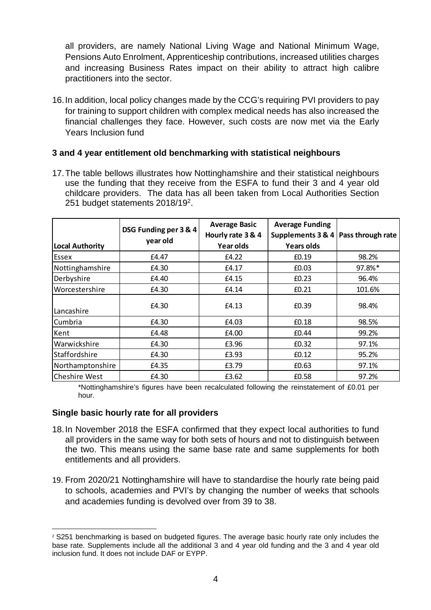all providers, are namely National Living Wage and National Minimum Wage, Pensions Auto Enrolment, Apprenticeship contributions, increased utilities charges and increasing Business Rates impact on their ability to attract high calibre practitioners into the sector.

16. In addition, local policy changes made by the CCG's requiring PVI providers to pay for training to support children with complex medical needs has also increased the financial challenges they face. However, such costs are now met via the Early Years Inclusion fund

### **3 and 4 year entitlement old benchmarking with statistical neighbours**

17. The table bellows illustrates how Nottinghamshire and their statistical neighbours use the funding that they receive from the ESFA to fund their 3 and 4 year old childcare providers. The data has all been taken from Local Authorities Section 251 budget statements 2018/19<sup>2</sup>.

| <b>Local Authority</b> | DSG Funding per 3 & 4<br>year old | <b>Average Basic</b><br>Hourly rate 3 & 4<br>Year olds | <b>Average Funding</b><br>Supplements 3 & 4<br><b>Years olds</b> | Pass through rate |
|------------------------|-----------------------------------|--------------------------------------------------------|------------------------------------------------------------------|-------------------|
| Essex                  | £4.47                             | £4.22                                                  | £0.19                                                            | 98.2%             |
| Nottinghamshire        | £4.30                             | £4.17                                                  | £0.03                                                            | 97.8%*            |
| Derbyshire             | £4.40                             | £4.15                                                  | £0.23                                                            | 96.4%             |
| Worcestershire         | £4.30                             | £4.14                                                  | £0.21                                                            | 101.6%            |
| Lancashire             | £4.30                             | £4.13                                                  | £0.39                                                            | 98.4%             |
| Cumbria                | £4.30                             | £4.03                                                  | £0.18                                                            | 98.5%             |
| Kent                   | £4.48                             | £4.00                                                  | £0.44                                                            | 99.2%             |
| Warwickshire           | £4.30                             | £3.96                                                  | £0.32                                                            | 97.1%             |
| Staffordshire          | £4.30                             | £3.93                                                  | £0.12                                                            | 95.2%             |
| Northamptonshire       | £4.35                             | £3.79                                                  | £0.63                                                            | 97.1%             |
| <b>Cheshire West</b>   | £4.30                             | £3.62                                                  | £0.58                                                            | 97.2%             |

\*Nottinghamshire's figures have been recalculated following the reinstatement of £0.01 per hour.

## **Single basic hourly rate for all providers**

- 18. In November 2018 the ESFA confirmed that they expect local authorities to fund all providers in the same way for both sets of hours and not to distinguish between the two. This means using the same base rate and same supplements for both entitlements and all providers.
- 19. From 2020/21 Nottinghamshire will have to standardise the hourly rate being paid to schools, academies and PVI's by changing the number of weeks that schools and academies funding is devolved over from 39 to 38.

 $\overline{a}$ <sup>2</sup> S251 benchmarking is based on budgeted figures. The average basic hourly rate only includes the base rate. Supplements include all the additional 3 and 4 year old funding and the 3 and 4 year old inclusion fund. It does not include DAF or EYPP.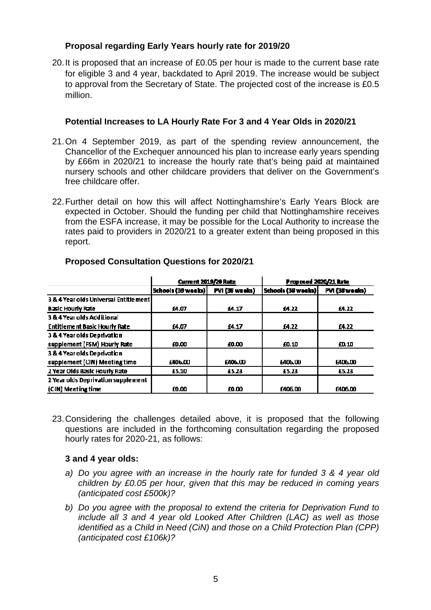## **Proposal regarding Early Years hourly rate for 2019/20**

20. It is proposed that an increase of £0.05 per hour is made to the current base rate for eligible 3 and 4 year, backdated to April 2019. The increase would be subject to approval from the Secretary of State. The projected cost of the increase is £0.5 million.

### **Potential Increases to LA Hourly Rate For 3 and 4 Year Olds in 2020/21**

- 21. On 4 September 2019, as part of the spending review announcement, the Chancellor of the Exchequer announced his plan to increase early years spending by £66m in 2020/21 to increase the hourly rate that's being paid at maintained nursery schools and other childcare providers that deliver on the Government's free childcare offer.
- 22. Further detail on how this will affect Nottinghamshire's Early Years Block are expected in October. Should the funding per child that Nottinghamshire receives from the ESFA increase, it may be possible for the Local Authority to increase the rates paid to providers in 2020/21 to a greater extent than being proposed in this report.

|                                         | <b>Current 2019/20 Rate</b> |                | Proposed 2020/21 Rate |                 |
|-----------------------------------------|-----------------------------|----------------|-----------------------|-----------------|
|                                         | Schools (39 weeks)          | PVI (38 weeks) | Schools (38 weeks)    | PVI (38 weeks)  |
| 3 & 4 Year olds Universal Entitle menti |                             |                |                       |                 |
| <b>Basic Hourly Rate</b>                | 14.07                       | 14.17          | 14.22                 | <b>E4.22</b>    |
| 3 & 4 Year olds Additional              |                             |                |                       |                 |
| <b>Entitlement Basic Hourly Rate</b>    | £4.07                       | £4.17          | <b>E4.22</b>          | £4.22           |
| 3 & 4 Year olds Deprivation             |                             |                |                       |                 |
| supplement (FSM) Hourly Rate            | 10.00                       | £0.00          | £0.10                 | m <sub>10</sub> |
| 3 & 4 Year olds Deprivation             |                             |                |                       |                 |
| supplement (CIN) Meeting time           | <b>1406.00</b>              | £406.00        | <b>1406.00</b>        | <b>E406.00</b>  |
| 2 Year Olds Basic Hourly Rate           | £5.10                       | £5.23          | £5.23                 | £5.23           |
| 2 Year olds Deprivation supplement      |                             |                |                       |                 |
| (CIN) Meeting time                      | f0.00                       | £0.00          | £406.00               | £406.00         |

### **Proposed Consultation Questions for 2020/21**

23. Considering the challenges detailed above, it is proposed that the following questions are included in the forthcoming consultation regarding the proposed hourly rates for 2020-21, as follows:

#### **3 and 4 year olds:**

- a) Do you agree with an increase in the hourly rate for funded 3 & 4 year old children by £0.05 per hour, given that this may be reduced in coming years (anticipated cost £500k)?
- b) Do you agree with the proposal to extend the criteria for Deprivation Fund to include all 3 and 4 year old Looked After Children (LAC) as well as those identified as a Child in Need (CiN) and those on a Child Protection Plan (CPP) (anticipated cost £106k)?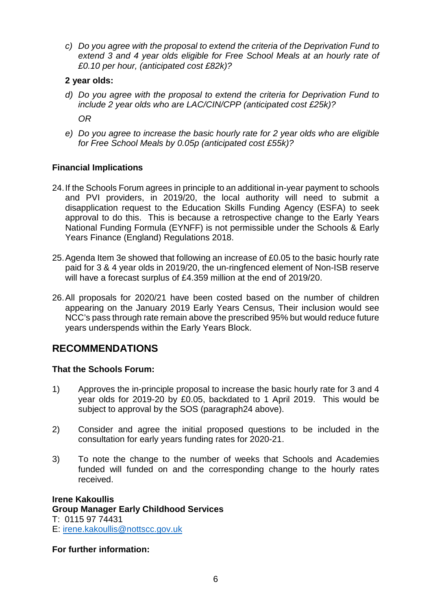c) Do you agree with the proposal to extend the criteria of the Deprivation Fund to extend 3 and 4 year olds eligible for Free School Meals at an hourly rate of £0.10 per hour, (anticipated cost £82k)?

## **2 year olds:**

d) Do you agree with the proposal to extend the criteria for Deprivation Fund to include 2 year olds who are LAC/CIN/CPP (anticipated cost £25k)?

OR

e) Do you agree to increase the basic hourly rate for 2 year olds who are eligible for Free School Meals by 0.05p (anticipated cost £55k)?

## **Financial Implications**

- 24. If the Schools Forum agrees in principle to an additional in-year payment to schools and PVI providers, in 2019/20, the local authority will need to submit a disapplication request to the Education Skills Funding Agency (ESFA) to seek approval to do this. This is because a retrospective change to the Early Years National Funding Formula (EYNFF) is not permissible under the Schools & Early Years Finance (England) Regulations 2018.
- 25. Agenda Item 3e showed that following an increase of £0.05 to the basic hourly rate paid for 3 & 4 year olds in 2019/20, the un-ringfenced element of Non-ISB reserve will have a forecast surplus of £4.359 million at the end of 2019/20.
- 26. All proposals for 2020/21 have been costed based on the number of children appearing on the January 2019 Early Years Census, Their inclusion would see NCC's pass through rate remain above the prescribed 95% but would reduce future years underspends within the Early Years Block.

# **RECOMMENDATIONS**

## **That the Schools Forum:**

- 1) Approves the in-principle proposal to increase the basic hourly rate for 3 and 4 year olds for 2019-20 by £0.05, backdated to 1 April 2019. This would be subject to approval by the SOS (paragraph24 above).
- 2) Consider and agree the initial proposed questions to be included in the consultation for early years funding rates for 2020-21.
- 3) To note the change to the number of weeks that Schools and Academies funded will funded on and the corresponding change to the hourly rates received.

#### **Irene Kakoullis Group Manager Early Childhood Services**  T: 0115 97 74431 E: irene.kakoullis@nottscc.gov.uk

**For further information:**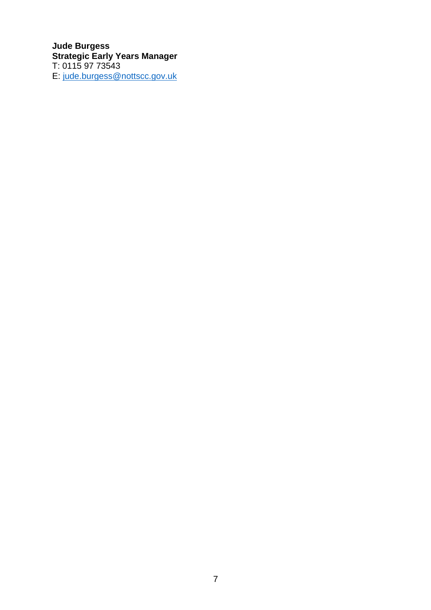**Jude Burgess Strategic Early Years Manager**  T: 0115 97 73543 E: jude.burgess@nottscc.gov.uk